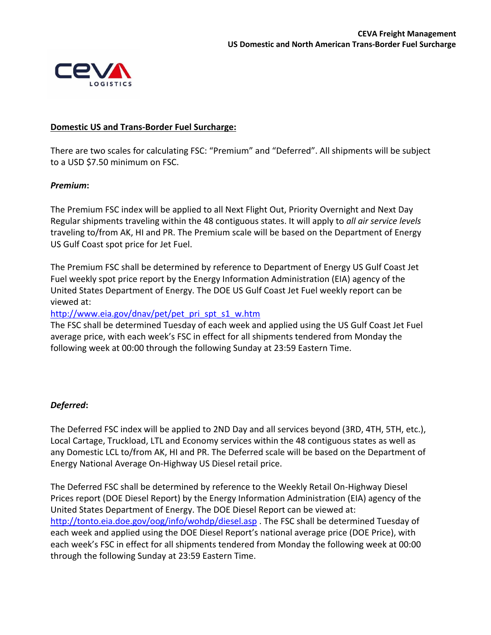

#### **Domestic US and Trans‐Border Fuel Surcharge:**

There are two scales for calculating FSC: "Premium" and "Deferred". All shipments will be subject to a USD \$7.50 minimum on FSC.

### *Premium***:**

The Premium FSC index will be applied to all Next Flight Out, Priority Overnight and Next Day Regular shipments traveling within the 48 contiguous states. It will apply to *all air service levels*  traveling to/from AK, HI and PR. The Premium scale will be based on the Department of Energy US Gulf Coast spot price for Jet Fuel.

The Premium FSC shall be determined by reference to Department of Energy US Gulf Coast Jet Fuel weekly spot price report by the Energy Information Administration (EIA) agency of the United States Department of Energy. The DOE US Gulf Coast Jet Fuel weekly report can be viewed at:

[http://www.eia.gov/dnav/pet/pet\\_pri\\_spt\\_s1\\_w.htm](http://www.eia.gov/dnav/pet/pet_pri_spt_s1_w.htm)

The FSC shall be determined Tuesday of each week and applied using the US Gulf Coast Jet Fuel average price, with each week's FSC in effect for all shipments tendered from Monday the following week at 00:00 through the following Sunday at 23:59 Eastern Time.

### *Deferred***:**

The Deferred FSC index will be applied to 2ND Day and all services beyond (3RD, 4TH, 5TH, etc.), Local Cartage, Truckload, LTL and Economy services within the 48 contiguous states as well as any Domestic LCL to/from AK, HI and PR. The Deferred scale will be based on the Department of Energy National Average On‐Highway US Diesel retail price.

The Deferred FSC shall be determined by reference to the Weekly Retail On-Highway Diesel Prices report (DOE Diesel Report) by the Energy Information Administration (EIA) agency of the United States Department of Energy. The DOE Diesel Report can be viewed at: <http://tonto.eia.doe.gov/oog/info/wohdp/diesel.asp>. The FSC shall be determined Tuesday of each week and applied using the DOE Diesel Report's national average price (DOE Price), with each week's FSC in effect for all shipments tendered from Monday the following week at 00:00 through the following Sunday at 23:59 Eastern Time.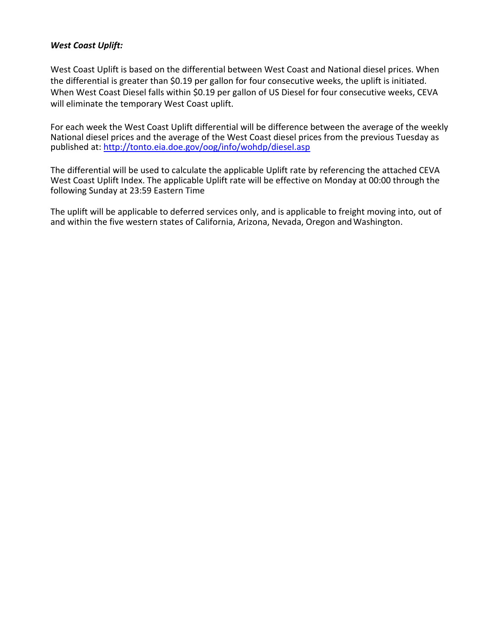### *West Coast Uplift:*

West Coast Uplift is based on the differential between West Coast and National diesel prices. When the differential is greater than \$0.19 per gallon for four consecutive weeks, the uplift is initiated. When West Coast Diesel falls within \$0.19 per gallon of US Diesel for four consecutive weeks, CEVA will eliminate the temporary West Coast uplift.

For each week the West Coast Uplift differential will be difference between the average of the weekly National diesel prices and the average of the West Coast diesel prices from the previous Tuesday as published at:<http://tonto.eia.doe.gov/oog/info/wohdp/diesel.asp>

The differential will be used to calculate the applicable Uplift rate by referencing the attached CEVA West Coast Uplift Index. The applicable Uplift rate will be effective on Monday at 00:00 through the following Sunday at 23:59 Eastern Time

The uplift will be applicable to deferred services only, and is applicable to freight moving into, out of and within the five western states of California, Arizona, Nevada, Oregon andWashington.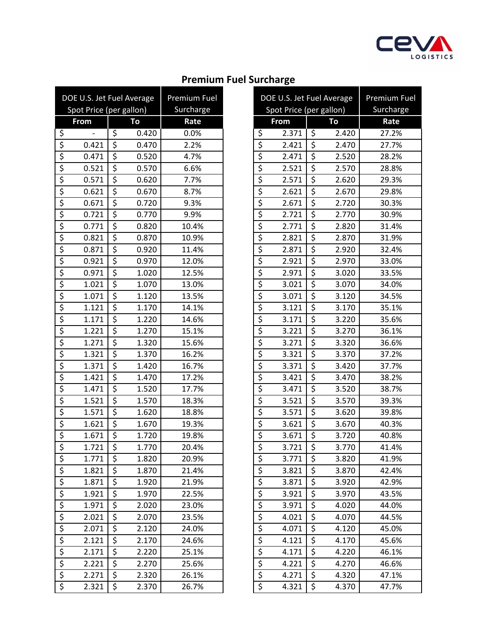

### **Premium Fuel Surcharge**

|                              | DOE U.S. Jet Fuel Average             | <b>Premium Fuel</b><br>Surcharge                                      |       |       |
|------------------------------|---------------------------------------|-----------------------------------------------------------------------|-------|-------|
|                              | Spot Price (per gallon)<br>From<br>To |                                                                       |       | Rate  |
|                              |                                       | \$                                                                    | 0.420 | 0.0%  |
|                              | 0.421                                 |                                                                       | 0.470 | 2.2%  |
|                              | 0.471                                 |                                                                       | 0.520 | 4.7%  |
|                              | 0.521                                 |                                                                       | 0.570 | 6.6%  |
|                              | 0.571                                 |                                                                       | 0.620 | 7.7%  |
|                              | 0.621                                 | $\frac{1}{5}$ $\frac{5}{5}$ $\frac{1}{5}$ $\frac{5}{5}$ $\frac{1}{5}$ | 0.670 | 8.7%  |
|                              | 0.671                                 |                                                                       | 0.720 | 9.3%  |
|                              | 0.721                                 | $rac{5}{5}$                                                           | 0.770 | 9.9%  |
|                              | 0.771                                 |                                                                       | 0.820 | 10.4% |
|                              | 0.821                                 |                                                                       | 0.870 | 10.9% |
|                              | 0.871                                 |                                                                       | 0.920 | 11.4% |
|                              | 0.921                                 | $rac{5}{5}$<br>$rac{5}{5}$                                            | 0.970 | 12.0% |
|                              | 0.971                                 |                                                                       | 1.020 | 12.5% |
|                              | 1.021                                 |                                                                       | 1.070 | 13.0% |
|                              | 1.071                                 | $rac{5}{5}$                                                           | 1.120 | 13.5% |
|                              | 1.121                                 | \$                                                                    | 1.170 | 14.1% |
|                              | 1.171                                 |                                                                       | 1.220 | 14.6% |
|                              | 1.221                                 |                                                                       | 1.270 | 15.1% |
|                              | 1.271                                 | $\frac{1}{2}$<br>$\frac{1}{2}$<br>$\frac{1}{2}$                       | 1.320 | 15.6% |
|                              | 1.321                                 |                                                                       | 1.370 | 16.2% |
|                              | 1.371                                 | \$                                                                    | 1.420 | 16.7% |
|                              | 1.421                                 |                                                                       | 1.470 | 17.2% |
|                              | 1.471                                 | $rac{5}{5}$<br>$rac{5}{5}$                                            | 1.520 | 17.7% |
|                              | 1.521                                 |                                                                       | 1.570 | 18.3% |
|                              | 1.571                                 |                                                                       | 1.620 | 18.8% |
|                              | 1.621                                 |                                                                       | 1.670 | 19.3% |
|                              | 1.671                                 | $rac{5}{5}$                                                           | 1.720 | 19.8% |
|                              | 1.721                                 | \$                                                                    | 1.770 | 20.4% |
|                              | 1.771                                 |                                                                       | 1.820 | 20.9% |
|                              | 1.821                                 |                                                                       | 1.870 | 21.4% |
|                              | 1.871                                 |                                                                       | 1.920 | 21.9% |
|                              | 1.921                                 |                                                                       | 1.970 | 22.5% |
|                              | 1.971                                 |                                                                       | 2.020 | 23.0% |
| s  s  s  s  s  s  s  s  s  s | 2.021                                 |                                                                       | 2.070 | 23.5% |
|                              | 2.071                                 |                                                                       | 2.120 | 24.0% |
|                              | 2.121                                 |                                                                       | 2.170 | 24.6% |
|                              | 2.171                                 |                                                                       | 2.220 | 25.1% |
|                              | 2.221                                 |                                                                       | 2.270 | 25.6% |
|                              | 2.271                                 |                                                                       | 2.320 | 26.1% |
|                              | 2.321                                 | \$                                                                    | 2.370 | 26.7% |

|                                                 | DOE U.S. Jet Fuel Average | Premium Fuel                                    |       |           |
|-------------------------------------------------|---------------------------|-------------------------------------------------|-------|-----------|
| Spot Price (per gallon)                         |                           |                                                 |       | Surcharge |
|                                                 | <b>From</b>               |                                                 | To    | Rate      |
|                                                 | 2.371                     | \$                                              | 2.420 | 27.2%     |
|                                                 | 2.421                     |                                                 | 2.470 | 27.7%     |
| $\frac{5}{5}$<br>$\frac{5}{5}$                  | 2.471                     | $rac{5}{5}$                                     | 2.520 | 28.2%     |
|                                                 | 2.521                     |                                                 | 2.570 | 28.8%     |
| \$\$\$\$\$                                      | 2.571                     | \$                                              | 2.620 | 29.3%     |
|                                                 | 2.621                     | \$                                              | 2.670 | 29.8%     |
|                                                 | 2.671                     | $rac{5}{5}$                                     | 2.720 | 30.3%     |
|                                                 | 2.721                     |                                                 | 2.770 | 30.9%     |
|                                                 | 2.771                     |                                                 | 2.820 | 31.4%     |
| $\overline{\xi}$                                | 2.821                     | $\overline{\xi}$                                | 2.870 | 31.9%     |
|                                                 | 2.871                     | \$                                              | 2.920 | 32.4%     |
| $\frac{1}{2}$                                   | 2.921                     | $\frac{1}{2}$<br>$\frac{1}{2}$<br>$\frac{1}{2}$ | 2.970 | 33.0%     |
|                                                 | 2.971                     |                                                 | 3.020 | 33.5%     |
|                                                 | 3.021                     |                                                 | 3.070 | 34.0%     |
|                                                 | 3.071                     |                                                 | 3.120 | 34.5%     |
| $\overline{\xi}$                                | 3.121                     | \$                                              | 3.170 | 35.1%     |
| $\overline{\xi}$                                | 3.171                     | \$                                              | 3.220 | 35.6%     |
|                                                 | 3.221                     |                                                 | 3.270 | 36.1%     |
| $\frac{1}{2}$<br>$\frac{1}{2}$<br>$\frac{1}{2}$ | 3.271                     | $\frac{1}{2}$                                   | 3.320 | 36.6%     |
|                                                 | 3.321                     |                                                 | 3.370 | 37.2%     |
|                                                 | 3.371                     |                                                 | 3.420 | 37.7%     |
| $rac{1}{5}$                                     | 3.421                     |                                                 | 3.470 | 38.2%     |
|                                                 | 3.471                     | \$                                              | 3.520 | 38.7%     |
| \$                                              | 3.521                     | \$                                              | 3.570 | 39.3%     |
|                                                 | 3.571                     | $\frac{1}{2}$<br>$\frac{1}{2}$                  | 3.620 | 39.8%     |
|                                                 | 3.621                     |                                                 | 3.670 | 40.3%     |
| $\frac{1}{2}$<br>$\frac{1}{2}$<br>$\frac{1}{2}$ | 3.671                     |                                                 | 3.720 | 40.8%     |
|                                                 | 3.721                     | $\frac{1}{2}$                                   | 3.770 | 41.4%     |
| \$                                              | 3.771                     | \$                                              | 3.820 | 41.9%     |
|                                                 | 3.821                     |                                                 | 3.870 | 42.4%     |
|                                                 | 3.871                     |                                                 | 3.920 | 42.9%     |
|                                                 | 3.921                     |                                                 | 3.970 | 43.5%     |
|                                                 | 3.971                     |                                                 | 4.020 | 44.0%     |
|                                                 | 4.021                     |                                                 | 4.070 | 44.5%     |
|                                                 | 4.071                     |                                                 | 4.120 | 45.0%     |
|                                                 | 4.121                     |                                                 | 4.170 | 45.6%     |
|                                                 | 4.171                     |                                                 | 4.220 | 46.1%     |
|                                                 | 4.221                     |                                                 | 4.270 | 46.6%     |
|                                                 | 4.271                     |                                                 | 4.320 | 47.1%     |
|                                                 | 4.321                     | \$                                              | 4.370 | 47.7%     |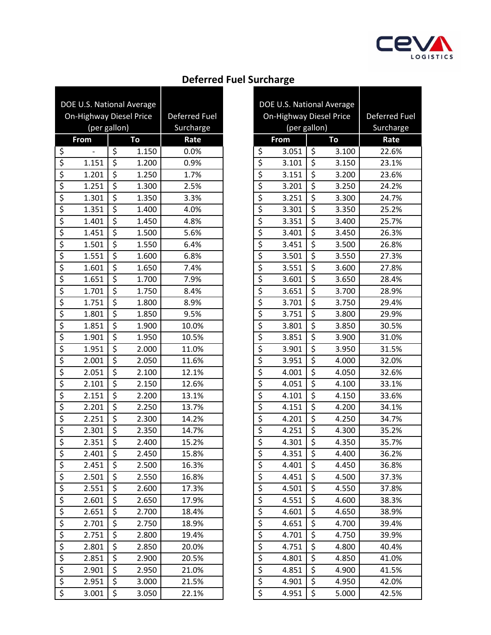

# **Deferred Fuel Surcharge**

|                          | DOE U.S. National Average |                                |       |       |
|--------------------------|---------------------------|--------------------------------|-------|-------|
|                          | On-Highway Diesel Price   | <b>Deferred Fuel</b>           |       |       |
|                          | (per gallon)              | Surcharge                      |       |       |
|                          | <b>From</b>               |                                | To    | Rate  |
|                          |                           | \$                             | 1.150 | 0.0%  |
|                          | 1.151                     |                                | 1.200 | 0.9%  |
|                          | 1.201                     |                                | 1.250 | 1.7%  |
|                          | 1.251                     | $rac{5}{5}$<br>$rac{5}{5}$     | 1.300 | 2.5%  |
|                          | 1.301                     |                                | 1.350 | 3.3%  |
|                          | 1.351                     | $\overline{\xi}$               | 1.400 | 4.0%  |
|                          | 1.401                     | $\frac{1}{2}$<br>$\frac{1}{2}$ | 1.450 | 4.8%  |
|                          | 1.451                     |                                | 1.500 | 5.6%  |
|                          | 1.501                     |                                | 1.550 | 6.4%  |
|                          | 1.551                     | $rac{1}{2}$                    | 1.600 | 6.8%  |
|                          | 1.601                     |                                | 1.650 | 7.4%  |
|                          | 1.651                     | $\overline{\xi}$               | 1.700 | 7.9%  |
|                          | 1.701                     | \$<br>\$<br>\$                 | 1.750 | 8.4%  |
|                          | 1.751                     |                                | 1.800 | 8.9%  |
|                          | 1.801                     |                                | 1.850 | 9.5%  |
|                          | 1.851                     |                                | 1.900 | 10.0% |
|                          | 1.901                     | $\frac{1}{5}$                  | 1.950 | 10.5% |
|                          | 1.951                     |                                | 2.000 | 11.0% |
|                          | 2.001                     |                                | 2.050 | 11.6% |
|                          | 2.051                     |                                | 2.100 | 12.1% |
|                          | 2.101                     |                                | 2.150 | 12.6% |
|                          | 2.151                     |                                | 2.200 | 13.1% |
|                          | 2.201                     |                                | 2.250 | 13.7% |
|                          | 2.251                     |                                | 2.300 | 14.2% |
|                          | 2.301                     | \$                             | 2.350 | 14.7% |
|                          | 2.351                     | \$                             | 2.400 | 15.2% |
|                          | 2.401                     |                                | 2.450 | 15.8% |
| <u>२१२१२१२१२१२१२१२१२</u> | 2.451                     |                                | 2.500 | 16.3% |
|                          | 2.501                     |                                | 2.550 | 16.8% |
|                          | 2.551                     |                                | 2.600 | 17.3% |
|                          | 2.601                     |                                | 2.650 | 17.9% |
|                          | 2.651                     |                                | 2.700 | 18.4% |
|                          | 2.701                     |                                | 2.750 | 18.9% |
|                          | 2.751                     |                                | 2.800 | 19.4% |
|                          | 2.801                     |                                | 2.850 | 20.0% |
|                          | 2.851                     |                                | 2.900 | 20.5% |
|                          | 2.901                     |                                | 2.950 | 21.0% |
|                          | 2.951                     |                                | 3.000 | 21.5% |
|                          | 3.001                     | \$                             | 3.050 | 22.1% |

| DOE U.S. National Average |                         |                            |       |       |
|---------------------------|-------------------------|----------------------------|-------|-------|
|                           | On-Highway Diesel Price | Deferred Fuel              |       |       |
|                           | (per gallon)            | Surcharge                  |       |       |
|                           | From                    | To                         |       | Rate  |
|                           | 3.051                   | \$                         | 3.100 | 22.6% |
|                           | 3.101                   | $rac{1}{5}$                | 3.150 | 23.1% |
|                           | 3.151                   |                            | 3.200 | 23.6% |
|                           | 3.201                   | \$                         | 3.250 | 24.2% |
|                           | 3.251                   | $rac{5}{5}$                | 3.300 | 24.7% |
|                           | 3.301                   |                            | 3.350 | 25.2% |
|                           | 3.351                   | $rac{5}{5}$                | 3.400 | 25.7% |
|                           | 3.401                   |                            | 3.450 | 26.3% |
|                           | 3.451                   | \$                         | 3.500 | 26.8% |
|                           | 3.501                   | \$                         | 3.550 | 27.3% |
|                           | 3.551                   | $rac{5}{5}$                | 3.600 | 27.8% |
|                           | 3.601                   |                            | 3.650 | 28.4% |
|                           | 3.651                   | \$                         | 3.700 | 28.9% |
|                           | 3.701                   | $rac{1}{2}$                | 3.750 | 29.4% |
|                           | 3.751                   |                            | 3.800 | 29.9% |
|                           | 3.801                   | \$                         | 3.850 | 30.5% |
|                           | 3.851                   |                            | 3.900 | 31.0% |
|                           | 3.901                   | $rac{5}{5}$                | 3.950 | 31.5% |
|                           | 3.951                   |                            | 4.000 | 32.0% |
|                           | 4.001                   | $\frac{1}{5}$              | 4.050 | 32.6% |
|                           | 4.051                   | \$                         | 4.100 | 33.1% |
|                           | 4.101                   | \$                         | 4.150 | 33.6% |
|                           | 4.151                   | \$                         | 4.200 | 34.1% |
|                           | 4.201                   | $rac{5}{5}$                | 4.250 | 34.7% |
|                           | 4.251                   |                            | 4.300 | 35.2% |
| $\frac{1}{5}$             | 4.301                   | \$                         | 4.350 | 35.7% |
| $\overline{\epsilon}$     | 4.351                   | \$                         | 4.400 | 36.2% |
|                           | 4.401                   |                            | 4.450 | 36.8% |
|                           | 4.451                   |                            | 4.500 | 37.3% |
|                           | 4.501                   |                            | 4.550 | 37.8% |
|                           | 4.551                   |                            | 4.600 | 38.3% |
|                           | 4.601                   |                            | 4.650 | 38.9% |
|                           | 4.651                   |                            | 4.700 | 39.4% |
|                           | 4.701                   |                            | 4.750 | 39.9% |
| राजालालालालालालालालाला    | 4.751                   | \$ \$ \$ \$ \$ \$ \$ \$ \$ | 4.800 | 40.4% |
|                           | 4.801                   |                            | 4.850 | 41.0% |
|                           | 4.851                   |                            | 4.900 | 41.5% |
|                           | 4.901                   | \$                         | 4.950 | 42.0% |
|                           | 4.951                   | \$                         | 5.000 | 42.5% |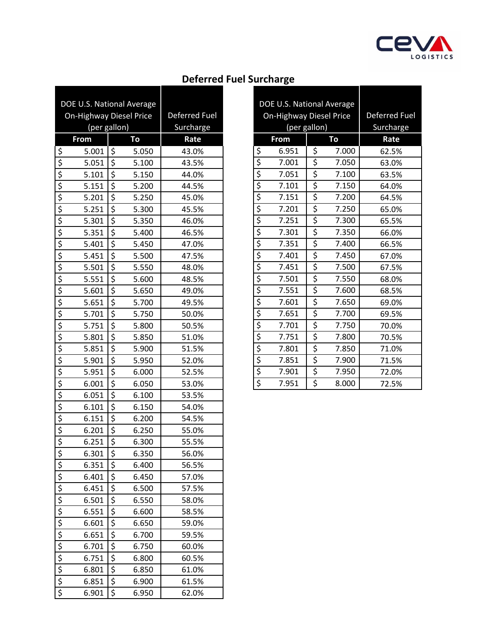

## **Deferred Fuel Surcharge**

|                            | DOE U.S. National Average |                                                                                                                                          |           |       |
|----------------------------|---------------------------|------------------------------------------------------------------------------------------------------------------------------------------|-----------|-------|
|                            | On-Highway Diesel Price   | Deferred Fuel                                                                                                                            |           |       |
| (per gallon)               |                           |                                                                                                                                          | Surcharge |       |
|                            | <b>From</b><br>To         |                                                                                                                                          |           | Rate  |
|                            | 5.001                     | \$                                                                                                                                       | 5.050     | 43.0% |
|                            | 5.051                     |                                                                                                                                          | 5.100     | 43.5% |
|                            | 5.101                     | $rac{5}{5}$                                                                                                                              | 5.150     | 44.0% |
|                            | 5.151                     | $\overline{\xi}$                                                                                                                         | 5.200     | 44.5% |
|                            | 5.201                     | \$                                                                                                                                       | 5.250     | 45.0% |
|                            | 5.251                     |                                                                                                                                          | 5.300     | 45.5% |
|                            | 5.301                     | $\frac{1}{2}$<br>$\frac{1}{2}$                                                                                                           | 5.350     | 46.0% |
|                            | 5.351                     |                                                                                                                                          | 5.400     | 46.5% |
|                            | 5.401                     |                                                                                                                                          | 5.450     | 47.0% |
|                            | 5.451                     | \$                                                                                                                                       | 5.500     | 47.5% |
|                            | 5.501                     | \$                                                                                                                                       | 5.550     | 48.0% |
|                            | 5.551                     |                                                                                                                                          | 5.600     | 48.5% |
|                            | 5.601                     | <br> <br> <br> <br> <br> <br><br><br><br><br><br><br><br><br><br>                                                                        | 5.650     | 49.0% |
|                            | 5.651                     |                                                                                                                                          | 5.700     | 49.5% |
|                            | 5.701                     |                                                                                                                                          | 5.750     | 50.0% |
|                            | 5.751                     | $\frac{1}{5}$                                                                                                                            | 5.800     | 50.5% |
|                            | 5.801                     | \$                                                                                                                                       | 5.850     | 51.0% |
|                            | 5.851                     | \$                                                                                                                                       | 5.900     | 51.5% |
|                            | 5.901                     |                                                                                                                                          | 5.950     | 52.0% |
|                            | 5.951                     | $\frac{1}{2}$<br>$\frac{1}{2}$<br>$\frac{1}{2}$                                                                                          | 6.000     | 52.5% |
|                            | 6.001                     |                                                                                                                                          | 6.050     | 53.0% |
|                            | 6.051                     |                                                                                                                                          | 6.100     | 53.5% |
|                            | 6.101                     | \$                                                                                                                                       | 6.150     | 54.0% |
|                            | 6.151                     | \$                                                                                                                                       | 6.200     | 54.5% |
|                            | 6.201                     | \$                                                                                                                                       | 6.250     | 55.0% |
|                            | 6.251                     | \$                                                                                                                                       | 6.300     | 55.5% |
|                            | 6.301                     | \$                                                                                                                                       | 6.350     | 56.0% |
| \$ 2 3 4 4 4 4 4 4 4 4 4 4 | 6.351                     | \$                                                                                                                                       | 6.400     | 56.5% |
|                            | 6.401                     |                                                                                                                                          | 6.450     | 57.0% |
|                            | 6.451                     |                                                                                                                                          | 6.500     | 57.5% |
|                            | 6.501                     | $\frac{1}{2}$<br>$\frac{1}{2}$<br>$\frac{1}{2}$<br>$\frac{1}{2}$<br>$\frac{1}{2}$<br>$\frac{1}{2}$<br>$\frac{1}{2}$<br><br>$\frac{1}{2}$ | 6.550     | 58.0% |
|                            | 6.551                     |                                                                                                                                          | 6.600     | 58.5% |
|                            | 6.601                     |                                                                                                                                          | 6.650     | 59.0% |
|                            | 6.651                     |                                                                                                                                          | 6.700     | 59.5% |
|                            | 6.701                     |                                                                                                                                          | 6.750     | 60.0% |
|                            | 6.751                     | $rac{5}{5}$                                                                                                                              | 6.800     | 60.5% |
|                            | 6.801                     |                                                                                                                                          | 6.850     | 61.0% |
|                            | 6.851                     |                                                                                                                                          | 6.900     | 61.5% |
|                            | 6.901                     | $\overline{\dot{\varsigma}}$                                                                                                             | 6.950     | 62.0% |

|                                     | DOE U.S. National Average |                      |       |           |
|-------------------------------------|---------------------------|----------------------|-------|-----------|
|                                     | On-Highway Diesel Price   | <b>Deferred Fuel</b> |       |           |
|                                     | (per gallon)              |                      |       | Surcharge |
|                                     | From                      | То                   |       | Rate      |
| \$                                  | 6.951                     | \$                   | 7.000 | 62.5%     |
| $\frac{1}{2}$                       | 7.001                     | \$                   | 7.050 | 63.0%     |
|                                     | 7.051                     | \$                   | 7.100 | 63.5%     |
|                                     | 7.101                     | \$                   | 7.150 | 64.0%     |
|                                     | 7.151                     | \$                   | 7.200 | 64.5%     |
| \$                                  | 7.201                     | \$                   | 7.250 | 65.0%     |
| $rac{5}{5}$                         | 7.251                     | \$                   | 7.300 | 65.5%     |
|                                     | 7.301                     | \$                   | 7.350 | 66.0%     |
| \$                                  | 7.351                     | \$                   | 7.400 | 66.5%     |
| \$                                  | 7.401                     | \$                   | 7.450 | 67.0%     |
| \$                                  | 7.451                     | \$                   | 7.500 | 67.5%     |
| \$                                  | 7.501                     | \$                   | 7.550 | 68.0%     |
| $rac{5}{5}$                         | 7.551                     | \$                   | 7.600 | 68.5%     |
|                                     | 7.601                     | \$                   | 7.650 | 69.0%     |
| $rac{5}{5}$                         | 7.651                     | \$                   | 7.700 | 69.5%     |
|                                     | 7.701                     | \$                   | 7.750 | 70.0%     |
| \$                                  | 7.751                     | \$                   | 7.800 | 70.5%     |
| $rac{5}{5}$                         | 7.801                     | \$                   | 7.850 | 71.0%     |
|                                     | 7.851                     | \$                   | 7.900 | 71.5%     |
| \$                                  | 7.901                     | \$                   | 7.950 | 72.0%     |
| $\overline{\boldsymbol{\varsigma}}$ | 7.951                     | \$                   | 8.000 | 72.5%     |